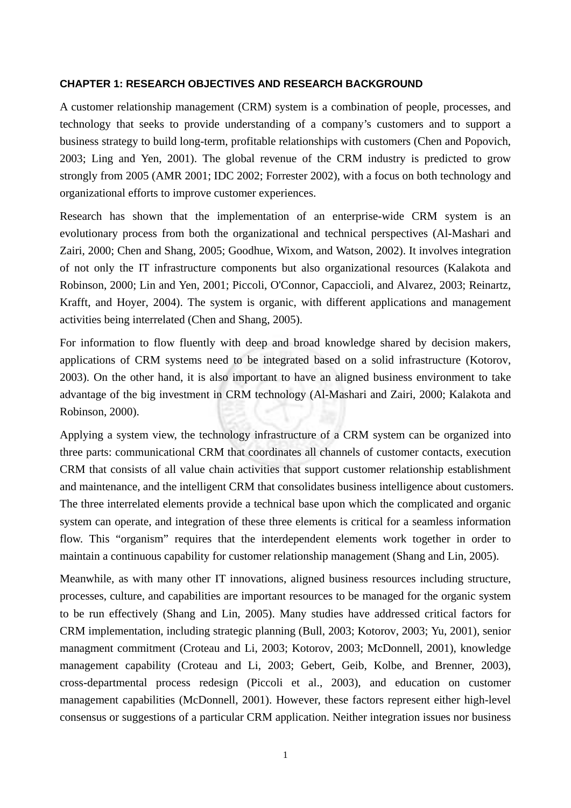## **CHAPTER 1: RESEARCH OBJECTIVES AND RESEARCH BACKGROUND**

A customer relationship management (CRM) system is a combination of people, processes, and technology that seeks to provide understanding of a company's customers and to support a business strategy to build long-term, profitable relationships with customers (Chen and Popovich, 2003; Ling and Yen, 2001). The global revenue of the CRM industry is predicted to grow strongly from 2005 (AMR 2001; IDC 2002; Forrester 2002), with a focus on both technology and organizational efforts to improve customer experiences.

Research has shown that the implementation of an enterprise-wide CRM system is an evolutionary process from both the organizational and technical perspectives (Al-Mashari and Zairi, 2000; Chen and Shang, 2005; Goodhue, Wixom, and Watson, 2002). It involves integration of not only the IT infrastructure components but also organizational resources (Kalakota and Robinson, 2000; Lin and Yen, 2001; Piccoli, O'Connor, Capaccioli, and Alvarez, 2003; Reinartz, Krafft, and Hoyer, 2004). The system is organic, with different applications and management activities being interrelated (Chen and Shang, 2005).

For information to flow fluently with deep and broad knowledge shared by decision makers, applications of CRM systems need to be integrated based on a solid infrastructure (Kotorov, 2003). On the other hand, it is also important to have an aligned business environment to take advantage of the big investment in CRM technology (Al-Mashari and Zairi, 2000; Kalakota and Robinson, 2000).

Applying a system view, the technology infrastructure of a CRM system can be organized into three parts: communicational CRM that coordinates all channels of customer contacts, execution CRM that consists of all value chain activities that support customer relationship establishment and maintenance, and the intelligent CRM that consolidates business intelligence about customers. The three interrelated elements provide a technical base upon which the complicated and organic system can operate, and integration of these three elements is critical for a seamless information flow. This "organism" requires that the interdependent elements work together in order to maintain a continuous capability for customer relationship management (Shang and Lin, 2005).

Meanwhile, as with many other IT innovations, aligned business resources including structure, processes, culture, and capabilities are important resources to be managed for the organic system to be run effectively (Shang and Lin, 2005). Many studies have addressed critical factors for CRM implementation, including strategic planning (Bull, 2003; Kotorov, 2003; Yu, 2001), senior managment commitment (Croteau and Li, 2003; Kotorov, 2003; McDonnell, 2001), knowledge management capability (Croteau and Li, 2003; Gebert, Geib, Kolbe, and Brenner, 2003), cross-departmental process redesign (Piccoli et al., 2003), and education on customer management capabilities (McDonnell, 2001). However, these factors represent either high-level consensus or suggestions of a particular CRM application. Neither integration issues nor business